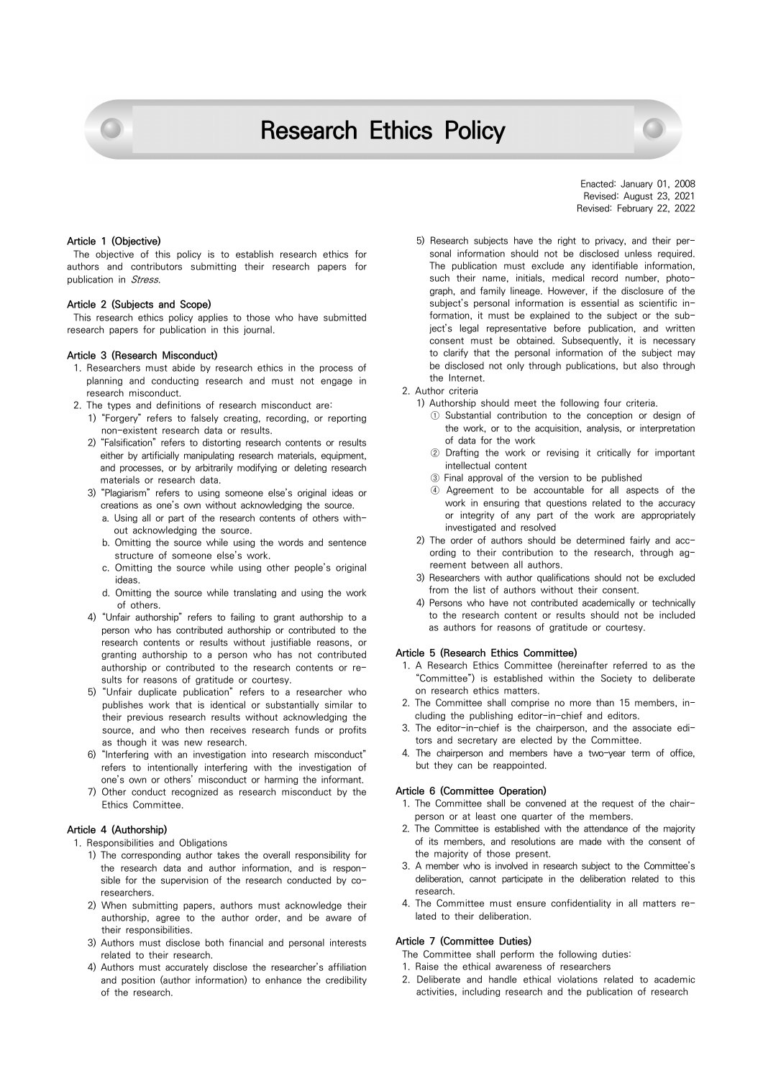



### **Article 1 (Objective)**

The objective of this policy is to establish research ethics for authors and contributors submitting their research papers for publication in Stress.

### **Article 2 (Subjects and Scope)**

This research ethics policy applies to those who have submitted research papers for publication in this journal.

# **Article 3 (Research Misconduct)**

- 1. Researchers must abide by research ethics in the process of planning and conducting research and must not engage in research misconduct.
- 2. The types and definitions of research misconduct are:
	- 1) "Forgery" refers to falsely creating, recording, or reporting non-existent research data or results.
	- 2) "Falsification" refers to distorting research contents or results either by artificially manipulating research materials, equipment, and processes, or by arbitrarily modifying or deleting research materials or research data.
	- 3) "Plagiarism" refers to using someone else's original ideas or creations as one's own without acknowledging the source.
		- a. Using all or part of the research contents of others without acknowledging the source.
		- b. Omitting the source while using the words and sentence structure of someone else's work.
		- c. Omitting the source while using other people's original ideas.
		- d. Omitting the source while translating and using the work of others.
	- 4) "Unfair authorship" refers to failing to grant authorship to a person who has contributed authorship or contributed to the research contents or results without justifiable reasons, or granting authorship to a person who has not contributed authorship or contributed to the research contents or results for reasons of gratitude or courtesy.
	- 5) "Unfair duplicate publication" refers to a researcher who publishes work that is identical or substantially similar to their previous research results without acknowledging the source, and who then receives research funds or profits as though it was new research.
	- 6) "Interfering with an investigation into research misconduct" refers to intentionally interfering with the investigation of one's own or others' misconduct or harming the informant.
	- 7) Other conduct recognized as research misconduct by the Ethics Committee.

# **Article 4 (Authorship)**

- 1. Responsibilities and Obligations
	- 1) The corresponding author takes the overall responsibility for the research data and author information, and is responsible for the supervision of the research conducted by coresearchers.
	- 2) When submitting papers, authors must acknowledge their authorship, agree to the author order, and be aware of their responsibilities.
	- 3) Authors must disclose both financial and personal interests related to their research.
	- 4) Authors must accurately disclose the researcher's affiliation and position (author information) to enhance the credibility of the research.
- 5) Research subjects have the right to privacy, and their personal information should not be disclosed unless required. The publication must exclude any identifiable information, such their name, initials, medical record number, photograph, and family lineage. However, if the disclosure of the subject's personal information is essential as scientific information, it must be explained to the subject or the subject's legal representative before publication, and written consent must be obtained. Subsequently, it is necessary to clarify that the personal information of the subject may be disclosed not only through publications, but also through the Internet.
- 2. Author criteria
	- 1) Authorship should meet the following four criteria.
		- ① Substantial contribution to the conception or design of the work, or to the acquisition, analysis, or interpretation of data for the work
		- ② Drafting the work or revising it critically for important intellectual content
		- ③ Final approval of the version to be published
		- ④ Agreement to be accountable for all aspects of the work in ensuring that questions related to the accuracy or integrity of any part of the work are appropriately investigated and resolved
	- 2) The order of authors should be determined fairly and according to their contribution to the research, through agreement between all authors.
	- 3) Researchers with author qualifications should not be excluded from the list of authors without their consent.
	- 4) Persons who have not contributed academically or technically to the research content or results should not be included as authors for reasons of gratitude or courtesy.

#### **Article 5 (Research Ethics Committee)**

- 1. A Research Ethics Committee (hereinafter referred to as the "Committee") is established within the Society to deliberate on research ethics matters.
- 2. The Committee shall comprise no more than 15 members, including the publishing editor-in-chief and editors.
- 3. The editor-in-chief is the chairperson, and the associate editors and secretary are elected by the Committee.
- 4. The chairperson and members have a two-year term of office, but they can be reappointed.

# **Article 6 (Committee Operation)**

- 1. The Committee shall be convened at the request of the chairperson or at least one quarter of the members.
- 2. The Committee is established with the attendance of the majority of its members, and resolutions are made with the consent of the majority of those present.
- 3. A member who is involved in research subject to the Committee's deliberation, cannot participate in the deliberation related to this research.
- 4. The Committee must ensure confidentiality in all matters related to their deliberation.

# **Article 7 (Committee Duties)**

- The Committee shall perform the following duties:
- 1. Raise the ethical awareness of researchers
- 2. Deliberate and handle ethical violations related to academic activities, including research and the publication of research